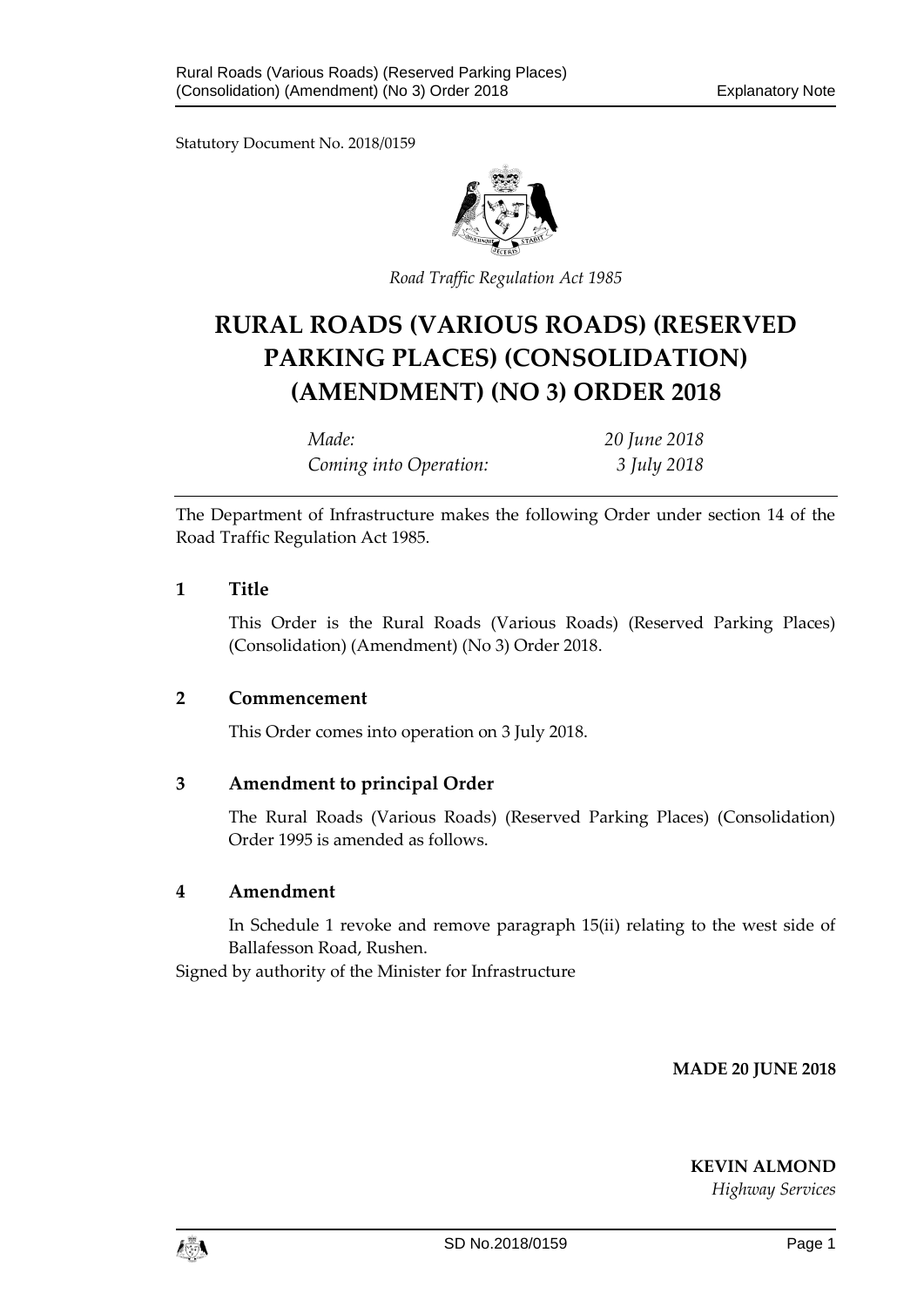Statutory Document No. 2018/0159



*Road Traffic Regulation Act 1985*

# **RURAL ROADS (VARIOUS ROADS) (RESERVED PARKING PLACES) (CONSOLIDATION) (AMENDMENT) (NO 3) ORDER 2018**

*Made: 20 June 2018 Coming into Operation: 3 July 2018*

The Department of Infrastructure makes the following Order under section 14 of the Road Traffic Regulation Act 1985.

### **1 Title**

This Order is the Rural Roads (Various Roads) (Reserved Parking Places) (Consolidation) (Amendment) (No 3) Order 2018.

#### **2 Commencement**

This Order comes into operation on 3 July 2018.

## **3 Amendment to principal Order**

The Rural Roads (Various Roads) (Reserved Parking Places) (Consolidation) Order 1995 is amended as follows.

#### **4 Amendment**

In Schedule 1 revoke and remove paragraph 15(ii) relating to the west side of Ballafesson Road, Rushen.

Signed by authority of the Minister for Infrastructure

**MADE 20 JUNE 2018**

**KEVIN ALMOND**

*Highway Services*